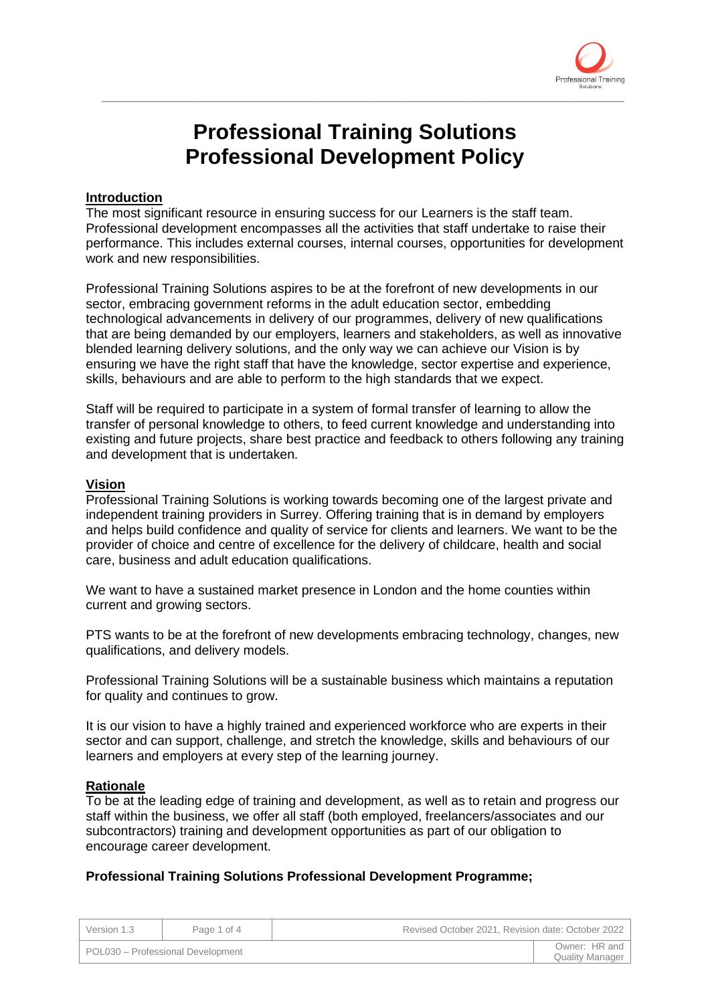

# **Professional Training Solutions Professional Development Policy**

\_\_\_\_\_\_\_\_\_\_\_\_\_\_\_\_\_\_\_\_\_\_\_\_\_\_\_\_\_\_\_\_\_\_\_\_\_\_\_\_\_\_\_\_\_\_\_\_\_\_\_\_\_\_\_\_\_\_\_\_\_\_\_\_\_\_\_\_\_\_\_\_\_\_\_\_\_\_\_\_

## **Introduction**

The most significant resource in ensuring success for our Learners is the staff team. Professional development encompasses all the activities that staff undertake to raise their performance. This includes external courses, internal courses, opportunities for development work and new responsibilities.

Professional Training Solutions aspires to be at the forefront of new developments in our sector, embracing government reforms in the adult education sector, embedding technological advancements in delivery of our programmes, delivery of new qualifications that are being demanded by our employers, learners and stakeholders, as well as innovative blended learning delivery solutions, and the only way we can achieve our Vision is by ensuring we have the right staff that have the knowledge, sector expertise and experience, skills, behaviours and are able to perform to the high standards that we expect.

Staff will be required to participate in a system of formal transfer of learning to allow the transfer of personal knowledge to others, to feed current knowledge and understanding into existing and future projects, share best practice and feedback to others following any training and development that is undertaken.

### **Vision**

Professional Training Solutions is working towards becoming one of the largest private and independent training providers in Surrey. Offering training that is in demand by employers and helps build confidence and quality of service for clients and learners. We want to be the provider of choice and centre of excellence for the delivery of childcare, health and social care, business and adult education qualifications.

We want to have a sustained market presence in London and the home counties within current and growing sectors.

PTS wants to be at the forefront of new developments embracing technology, changes, new qualifications, and delivery models.

Professional Training Solutions will be a sustainable business which maintains a reputation for quality and continues to grow.

It is our vision to have a highly trained and experienced workforce who are experts in their sector and can support, challenge, and stretch the knowledge, skills and behaviours of our learners and employers at every step of the learning journey.

### **Rationale**

To be at the leading edge of training and development, as well as to retain and progress our staff within the business, we offer all staff (both employed, freelancers/associates and our subcontractors) training and development opportunities as part of our obligation to encourage career development.

### **Professional Training Solutions Professional Development Programme;**

| Version 1.3                       | Page 1 of 4 | Revised October 2021, Revision date: October 2022 |                                         |
|-----------------------------------|-------------|---------------------------------------------------|-----------------------------------------|
| POL030 - Professional Development |             |                                                   | Owner: HR and<br><b>Quality Manager</b> |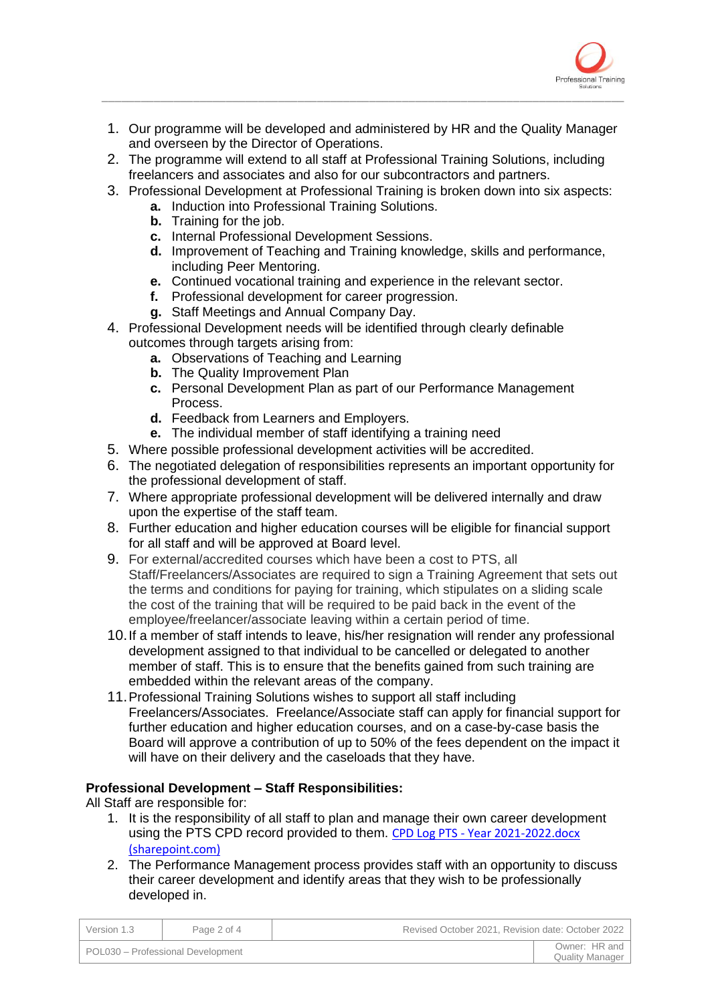

1. Our programme will be developed and administered by HR and the Quality Manager and overseen by the Director of Operations.

\_\_\_\_\_\_\_\_\_\_\_\_\_\_\_\_\_\_\_\_\_\_\_\_\_\_\_\_\_\_\_\_\_\_\_\_\_\_\_\_\_\_\_\_\_\_\_\_\_\_\_\_\_\_\_\_\_\_\_\_\_\_\_\_\_\_\_\_\_\_\_\_\_\_\_\_\_\_\_\_

- 2. The programme will extend to all staff at Professional Training Solutions, including freelancers and associates and also for our subcontractors and partners.
- 3. Professional Development at Professional Training is broken down into six aspects:
	- **a.** Induction into Professional Training Solutions.
	- **b.** Training for the job.
	- **c.** Internal Professional Development Sessions.
	- **d.** Improvement of Teaching and Training knowledge, skills and performance, including Peer Mentoring.
	- **e.** Continued vocational training and experience in the relevant sector.
	- **f.** Professional development for career progression.
	- **g.** Staff Meetings and Annual Company Day.
- 4. Professional Development needs will be identified through clearly definable outcomes through targets arising from:
	- **a.** Observations of Teaching and Learning
	- **b.** The Quality Improvement Plan
	- **c.** Personal Development Plan as part of our Performance Management Process.
	- **d.** Feedback from Learners and Employers.
	- **e.** The individual member of staff identifying a training need
- 5. Where possible professional development activities will be accredited.
- 6. The negotiated delegation of responsibilities represents an important opportunity for the professional development of staff.
- 7. Where appropriate professional development will be delivered internally and draw upon the expertise of the staff team.
- 8. Further education and higher education courses will be eligible for financial support for all staff and will be approved at Board level.
- 9. For external/accredited courses which have been a cost to PTS, all Staff/Freelancers/Associates are required to sign a Training Agreement that sets out the terms and conditions for paying for training, which stipulates on a sliding scale the cost of the training that will be required to be paid back in the event of the employee/freelancer/associate leaving within a certain period of time.
- 10.If a member of staff intends to leave, his/her resignation will render any professional development assigned to that individual to be cancelled or delegated to another member of staff. This is to ensure that the benefits gained from such training are embedded within the relevant areas of the company.
- 11.Professional Training Solutions wishes to support all staff including Freelancers/Associates. Freelance/Associate staff can apply for financial support for further education and higher education courses, and on a case-by-case basis the Board will approve a contribution of up to 50% of the fees dependent on the impact it will have on their delivery and the caseloads that they have.

## **Professional Development – Staff Responsibilities:**

All Staff are responsible for:

- 1. It is the responsibility of all staff to plan and manage their own career development using the PTS CPD record provided to them. CPD Log PTS - [Year 2021-2022.docx](https://protrains.sharepoint.com/:w:/r/_layouts/15/Doc.aspx?sourcedoc=%7BBBE67C90-4230-4EAC-AF04-6E3FD598E438%7D&file=CPD%20Log%20PTS%20-%20Year%202021-2022.docx&action=default&mobileredirect=true)  [\(sharepoint.com\)](https://protrains.sharepoint.com/:w:/r/_layouts/15/Doc.aspx?sourcedoc=%7BBBE67C90-4230-4EAC-AF04-6E3FD598E438%7D&file=CPD%20Log%20PTS%20-%20Year%202021-2022.docx&action=default&mobileredirect=true)
- 2. The Performance Management process provides staff with an opportunity to discuss their career development and identify areas that they wish to be professionally developed in.

| Version 1.3                         | Page 2 of 4 | Revised October 2021, Revision date: October 2022 |                                         |
|-------------------------------------|-------------|---------------------------------------------------|-----------------------------------------|
| l POL030 – Professional Development |             |                                                   | Owner: HR and<br><b>Quality Manager</b> |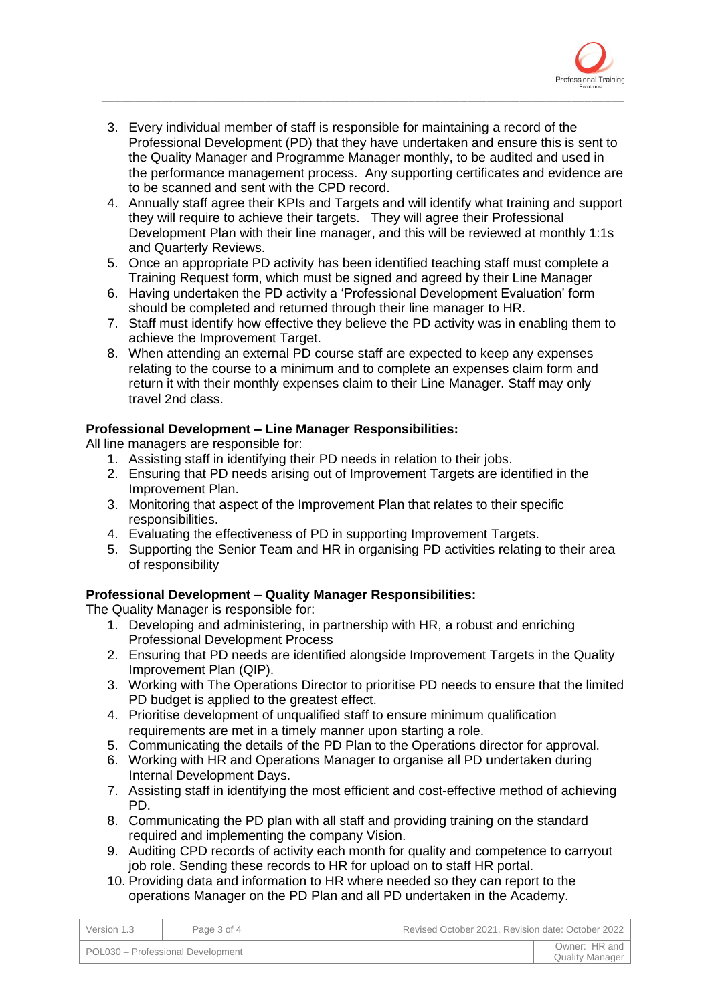

3. Every individual member of staff is responsible for maintaining a record of the Professional Development (PD) that they have undertaken and ensure this is sent to the Quality Manager and Programme Manager monthly, to be audited and used in the performance management process. Any supporting certificates and evidence are to be scanned and sent with the CPD record.

\_\_\_\_\_\_\_\_\_\_\_\_\_\_\_\_\_\_\_\_\_\_\_\_\_\_\_\_\_\_\_\_\_\_\_\_\_\_\_\_\_\_\_\_\_\_\_\_\_\_\_\_\_\_\_\_\_\_\_\_\_\_\_\_\_\_\_\_\_\_\_\_\_\_\_\_\_\_\_\_

- 4. Annually staff agree their KPIs and Targets and will identify what training and support they will require to achieve their targets. They will agree their Professional Development Plan with their line manager, and this will be reviewed at monthly 1:1s and Quarterly Reviews.
- 5. Once an appropriate PD activity has been identified teaching staff must complete a Training Request form, which must be signed and agreed by their Line Manager
- 6. Having undertaken the PD activity a 'Professional Development Evaluation' form should be completed and returned through their line manager to HR.
- 7. Staff must identify how effective they believe the PD activity was in enabling them to achieve the Improvement Target.
- 8. When attending an external PD course staff are expected to keep any expenses relating to the course to a minimum and to complete an expenses claim form and return it with their monthly expenses claim to their Line Manager. Staff may only travel 2nd class.

## **Professional Development – Line Manager Responsibilities:**

All line managers are responsible for:

- 1. Assisting staff in identifying their PD needs in relation to their jobs.
- 2. Ensuring that PD needs arising out of Improvement Targets are identified in the Improvement Plan.
- 3. Monitoring that aspect of the Improvement Plan that relates to their specific responsibilities.
- 4. Evaluating the effectiveness of PD in supporting Improvement Targets.
- 5. Supporting the Senior Team and HR in organising PD activities relating to their area of responsibility

## **Professional Development – Quality Manager Responsibilities:**

The Quality Manager is responsible for:

- 1. Developing and administering, in partnership with HR, a robust and enriching Professional Development Process
- 2. Ensuring that PD needs are identified alongside Improvement Targets in the Quality Improvement Plan (QIP).
- 3. Working with The Operations Director to prioritise PD needs to ensure that the limited PD budget is applied to the greatest effect.
- 4. Prioritise development of unqualified staff to ensure minimum qualification requirements are met in a timely manner upon starting a role.
- 5. Communicating the details of the PD Plan to the Operations director for approval.
- 6. Working with HR and Operations Manager to organise all PD undertaken during Internal Development Days.
- 7. Assisting staff in identifying the most efficient and cost-effective method of achieving PD.
- 8. Communicating the PD plan with all staff and providing training on the standard required and implementing the company Vision.
- 9. Auditing CPD records of activity each month for quality and competence to carryout job role. Sending these records to HR for upload on to staff HR portal.
- 10. Providing data and information to HR where needed so they can report to the operations Manager on the PD Plan and all PD undertaken in the Academy.

| Version 1.3                       | Page 3 of 4 | Revised October 2021, Revision date: October 2022 |                                         |
|-----------------------------------|-------------|---------------------------------------------------|-----------------------------------------|
| POL030 - Professional Development |             |                                                   | Owner: HR and<br><b>Quality Manager</b> |